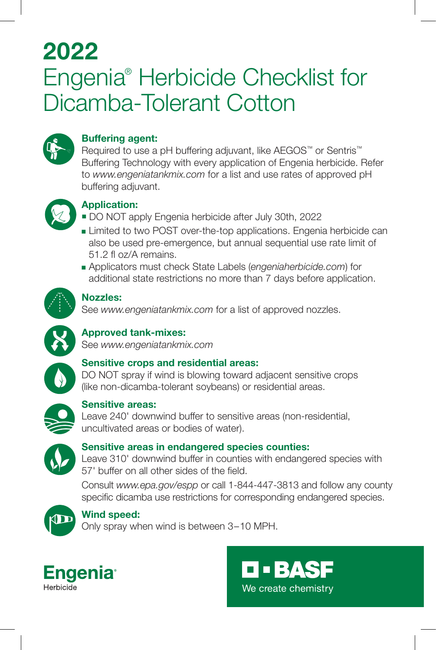## 2022 Engenia® Herbicide Checklist for Dicamba-Tolerant Cotton



### Buffering agent:

Required to use a pH buffering adjuvant, like AEGOS™ or Sentris™ Buffering Technology with every application of Engenia herbicide. Refer to *www.engeniatankmix.com* for a list and use rates of approved pH buffering adjuvant.



#### Application:

- DO NOT apply Engenia herbicide after July 30th, 2022
- **Example 2** Limited to two POST over-the-top applications. Engenia herbicide can also be used pre-emergence, but annual sequential use rate limit of 51.2 fl oz/A remains.
- <sup>n</sup> Applicators must check State Labels (*engeniaherbicide.com*) for additional state restrictions no more than 7 days before application.



#### Nozzles:

See *www.engeniatankmix.com* for a list of approved nozzles.



### Approved tank-mixes:

See *www.engeniatankmix.com*



#### Sensitive crops and residential areas:

DO NOT spray if wind is blowing toward adjacent sensitive crops (like non-dicamba-tolerant soybeans) or residential areas.



#### Sensitive areas:

Leave 240' downwind buffer to sensitive areas (non-residential, uncultivated areas or bodies of water).



#### Sensitive areas in endangered species counties:

Leave 310' downwind buffer in counties with endangered species with 57' buffer on all other sides of the field.

Consult *www.epa.gov/espp* or call 1-844-447-3813 and follow any county specific dicamba use restrictions for corresponding endangered species.



#### Wind speed:

Only spray when wind is between 3–10 MPH.